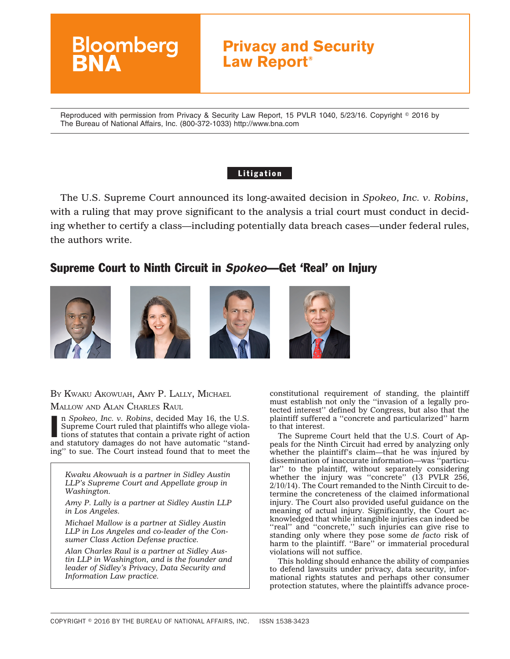

Reproduced with permission from Privacy & Security Law Report, 15 PVLR 1040, 5/23/16. Copyright © 2016 by The Bureau of National Affairs, Inc. (800-372-1033) http://www.bna.com

### **Litigation**

The U.S. Supreme Court announced its long-awaited decision in *Spokeo, Inc. v. Robins*, with a ruling that may prove significant to the analysis a trial court must conduct in deciding whether to certify a class—including potentially data breach cases—under federal rules, the authors write.

# Supreme Court to Ninth Circuit in *Spokeo*—Get 'Real' on Injury









BY KWAKU AKOWUAH, AMY P. LALLY, MICHAEL

MALLOW AND ALAN CHARLES RAUL

In Spokeo, Inc. v. Robins, decided May 16, the U.S.<br>Supreme Court ruled that plaintiffs who allege violations of statutes that contain a private right of action<br>and statutory damages do not have automatic "standn *Spokeo, Inc. v. Robins*, decided May 16, the U.S. Supreme Court ruled that plaintiffs who allege violations of statutes that contain a private right of action ing'' to sue. The Court instead found that to meet the

*Kwaku Akowuah is a partner in Sidley Austin LLP's Supreme Court and Appellate group in Washington.*

*Amy P. Lally is a partner at Sidley Austin LLP in Los Angeles.*

*Michael Mallow is a partner at Sidley Austin LLP in Los Angeles and co-leader of the Consumer Class Action Defense practice.*

*Alan Charles Raul is a partner at Sidley Austin LLP in Washington, and is the founder and leader of Sidley's Privacy, Data Security and Information Law practice.*

constitutional requirement of standing, the plaintiff must establish not only the ''invasion of a legally protected interest'' defined by Congress, but also that the plaintiff suffered a ''concrete and particularized'' harm to that interest.

The Supreme Court held that the U.S. Court of Appeals for the Ninth Circuit had erred by analyzing only whether the plaintiff's claim—that he was injured by dissemination of inaccurate information—was ''particular'' to the plaintiff, without separately considering whether the injury was "concrete" (13 PVLR 256, 2/10/14). The Court remanded to the Ninth Circuit to determine the concreteness of the claimed informational injury. The Court also provided useful guidance on the meaning of actual injury. Significantly, the Court acknowledged that while intangible injuries can indeed be "real" and "concrete," such injuries can give rise to standing only where they pose some *de facto* risk of harm to the plaintiff. "Bare" or immaterial procedural violations will not suffice.

This holding should enhance the ability of companies to defend lawsuits under privacy, data security, informational rights statutes and perhaps other consumer protection statutes, where the plaintiffs advance proce-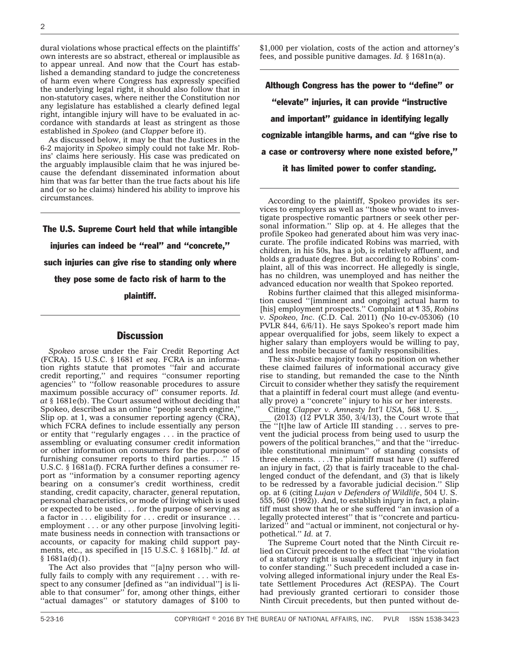dural violations whose practical effects on the plaintiffs' own interests are so abstract, ethereal or implausible as to appear unreal. And now that the Court has established a demanding standard to judge the concreteness of harm even where Congress has expressly specified the underlying legal right, it should also follow that in non-statutory cases, where neither the Constitution nor any legislature has established a clearly defined legal right, intangible injury will have to be evaluated in accordance with standards at least as stringent as those established in *Spokeo* (and *Clapper* before it).

As discussed below, it may be that the Justices in the 6-2 majority in *Spokeo* simply could not take Mr. Robins' claims here seriously. His case was predicated on the arguably implausible claim that he was injured because the defendant disseminated information about him that was far better than the true facts about his life and (or so he claims) hindered his ability to improve his circumstances.

The U.S. Supreme Court held that while intangible injuries can indeed be ''real'' and ''concrete,'' such injuries can give rise to standing only where they pose some de facto risk of harm to the plaintiff.

#### **Discussion**

*Spokeo* arose under the Fair Credit Reporting Act (FCRA). 15 U.S.C. § 1681 *et seq*. FCRA is an information rights statute that promotes ''fair and accurate credit reporting,'' and requires ''consumer reporting agencies<sup>"</sup> to "follow reasonable procedures to assure maximum possible accuracy of'' consumer reports. *Id. at* § 1681e(b). The Court assumed without deciding that Spokeo, described as an online ''people search engine,'' Slip op. at 1, was a consumer reporting agency (CRA), which FCRA defines to include essentially any person or entity that ''regularly engages . . . in the practice of assembling or evaluating consumer credit information or other information on consumers for the purpose of furnishing consumer reports to third parties. . . .'' 15 U.S.C. § 1681a(f). FCRA further defines a consumer report as ''information by a consumer reporting agency bearing on a consumer's credit worthiness, credit standing, credit capacity, character, general reputation, personal characteristics, or mode of living which is used or expected to be used . . . for the purpose of serving as a factor in . . . eligibility for . . . credit or insurance . . . employment . . . or any other purpose [involving legitimate business needs in connection with transactions or accounts, or capacity for making child support payments, etc., as specified in [15 U.S.C. § 1681b].'' *Id. at*  $§ 1681a(d)(1).$ 

The Act also provides that ''[a]ny person who willfully fails to comply with any requirement . . . with respect to any consumer [defined as ''an individual''] is liable to that consumer'' for, among other things, either ''actual damages'' or statutory damages of \$100 to \$1,000 per violation, costs of the action and attorney's fees, and possible punitive damages. *Id.* § 1681n(a).

Although Congress has the power to ''define'' or ''elevate'' injuries, it can provide ''instructive and important'' guidance in identifying legally cognizable intangible harms, and can ''give rise to a case or controversy where none existed before,'' it has limited power to confer standing.

According to the plaintiff, Spokeo provides its services to employers as well as ''those who want to investigate prospective romantic partners or seek other personal information.'' Slip op. at 4. He alleges that the profile Spokeo had generated about him was very inaccurate. The profile indicated Robins was married, with children, in his 50s, has a job, is relatively affluent, and holds a graduate degree. But according to Robins' complaint, all of this was incorrect. He allegedly is single, has no children, was unemployed and has neither the advanced education nor wealth that Spokeo reported.

Robins further claimed that this alleged misinformation caused ''[imminent and ongoing] actual harm to [his] employment prospects.'' Complaint at ¶ 35, *Robins v. Spokeo, Inc*. (C.D. Cal. 2011) (No 10-cv-05306) (10 PVLR 844, 6/6/11). He says Spokeo's report made him appear overqualified for jobs, seem likely to expect a higher salary than employers would be willing to pay, and less mobile because of family responsibilities.

The six-Justice majority took no position on whether these claimed failures of informational accuracy give rise to standing, but remanded the case to the Ninth Circuit to consider whether they satisfy the requirement that a plaintiff in federal court must allege (and eventually prove) a ''concrete'' injury to his or her interests.

Citing *Clapper v. Amnesty Int'l USA*, 568 U. S. \_\_\_,

 $(2013)$   $(12$  PVLR 350,  $3/4/13$ ), the Court wrote that the ''[t]he law of Article III standing . . . serves to prevent the judicial process from being used to usurp the powers of the political branches,'' and that the ''irreducible constitutional minimum'' of standing consists of three elements. . . .The plaintiff must have (1) suffered an injury in fact, (2) that is fairly traceable to the challenged conduct of the defendant, and (3) that is likely to be redressed by a favorable judicial decision.'' Slip op. at 6 (citing *Lujan v Defenders of Wildlife*, 504 U. S. 555, 560 (1992)). And, to establish injury in fact, a plaintiff must show that he or she suffered ''an invasion of a legally protected interest'' that is ''concrete and particularized" and "actual or imminent, not conjectural or hypothetical.'' *Id.* at 7.

The Supreme Court noted that the Ninth Circuit relied on Circuit precedent to the effect that ''the violation of a statutory right is usually a sufficient injury in fact to confer standing.'' Such precedent included a case involving alleged informational injury under the Real Estate Settlement Procedures Act (RESPA). The Court had previously granted certiorari to consider those Ninth Circuit precedents, but then punted without de-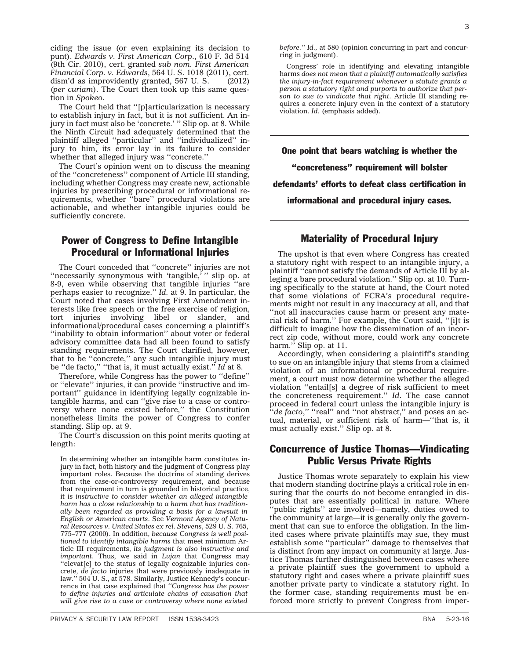PRIVACY & SECURITY LAW REPORT ISSN 1538-3423 BNA 5-23-16

ciding the issue (or even explaining its decision to punt). *Edwards v. First American Corp*., 610 F. 3d 514 (9th Cir. 2010), cert. granted *sub nom. First American Financial Corp. v. Edwards*, 564 U. S. 1018 (2011), cert. dism'd as improvidently granted, 567 U.S. (2012) (*per curiam*). The Court then took up this same question in *Spokeo*.

The Court held that ''[p]articularization is necessary to establish injury in fact, but it is not sufficient. An injury in fact must also be 'concrete.' '' Slip op. at 8. While the Ninth Circuit had adequately determined that the plaintiff alleged ''particular'' and ''individualized'' injury to him, its error lay in its failure to consider whether that alleged injury was ''concrete.''

The Court's opinion went on to discuss the meaning of the ''concreteness'' component of Article III standing, including whether Congress may create new, actionable injuries by prescribing procedural or informational requirements, whether ''bare'' procedural violations are actionable, and whether intangible injuries could be sufficiently concrete.

## Power of Congress to Define Intangible Procedural or Informational Injuries

The Court conceded that ''concrete'' injuries are not "necessarily synonymous with 'tangible," " slip op. at 8-9, even while observing that tangible injuries ''are perhaps easier to recognize.'' *Id.* at 9. In particular, the Court noted that cases involving First Amendment interests like free speech or the free exercise of religion, tort injuries involving libel or slander, and informational/procedural cases concerning a plaintiff's "inability to obtain information" about voter or federal advisory committee data had all been found to satisfy standing requirements. The Court clarified, however, that to be ''concrete,'' any such intangible injury must be ''de facto,'' ''that is, it must actually exist.'' *Id* at 8.

Therefore, while Congress has the power to ''define'' or ''elevate'' injuries, it can provide ''instructive and important'' guidance in identifying legally cognizable intangible harms, and can ''give rise to a case or controversy where none existed before,'' the Constitution nonetheless limits the power of Congress to confer standing. Slip op. at 9.

The Court's discussion on this point merits quoting at length:

In determining whether an intangible harm constitutes injury in fact, both history and the judgment of Congress play important roles. Because the doctrine of standing derives from the case-or-controversy requirement, and because that requirement in turn is grounded in historical practice, it is *instructive to consider whether an alleged intangible harm has a close relationship to a harm that has traditionally been regarded as providing a basis for a lawsuit in English or American courts*. See *Vermont Agency of Natural Resources v. United States ex rel. Stevens*, 529 U. S. 765, 775–777 (2000). In addition, *because Congress is well positioned to identify intangible harms* that meet minimum Article III requirements, *its judgment is also instructive and important*. Thus, we said in *Lujan* that Congress may ''elevat[e] to the status of legally cognizable injuries concrete, *de facto* injuries that were previously inadequate in law.'' 504 U. S., at 578. Similarly, Justice Kennedy's concurrence in that case explained that *''Congress has the power to define injuries and articulate chains of causation that will give rise to a case or controversy where none existed*

*before.'' Id.,* at 580 (opinion concurring in part and concurring in judgment).

Congress' role in identifying and elevating intangible harms *does not mean that a plaintiff automatically satisfies the injury-in-fact requirement whenever a statute grants a person a statutory right and purports to authorize that person to sue to vindicate that right*. Article III standing requires a concrete injury even in the context of a statutory violation. *Id.* (emphasis added).

One point that bears watching is whether the

''concreteness'' requirement will bolster

defendants' efforts to defeat class certification in

informational and procedural injury cases.

## Materiality of Procedural Injury

The upshot is that even where Congress has created a statutory right with respect to an intangible injury, a plaintiff ''cannot satisfy the demands of Article III by alleging a bare procedural violation.'' Slip op. at 10. Turning specifically to the statute at hand, the Court noted that some violations of FCRA's procedural requirements might not result in any inaccuracy at all, and that "not all inaccuracies cause harm or present any material risk of harm.'' For example, the Court said, ''[i]t is difficult to imagine how the dissemination of an incorrect zip code, without more, could work any concrete harm." Slip op. at 11.

Accordingly, when considering a plaintiff's standing to sue on an intangible injury that stems from a claimed violation of an informational or procedural requirement, a court must now determine whether the alleged violation ''entail[s] a degree of risk sufficient to meet the concreteness requirement.'' *Id*. The case cannot proceed in federal court unless the intangible injury is "*de facto*," "real" and "not abstract," and poses an actual, material, or sufficient risk of harm—''that is, it must actually exist.'' Slip op. at 8.

## Concurrence of Justice Thomas—Vindicating Public Versus Private Rights

Justice Thomas wrote separately to explain his view that modern standing doctrine plays a critical role in ensuring that the courts do not become entangled in disputes that are essentially political in nature. Where 'public rights'' are involved—namely, duties owed to the community at large—it is generally only the government that can sue to enforce the obligation. In the limited cases where private plaintiffs may sue, they must establish some ''particular'' damage to themselves that is distinct from any impact on community at large. Justice Thomas further distinguished between cases where a private plaintiff sues the government to uphold a statutory right and cases where a private plaintiff sues another private party to vindicate a statutory right. In the former case, standing requirements must be enforced more strictly to prevent Congress from imper-